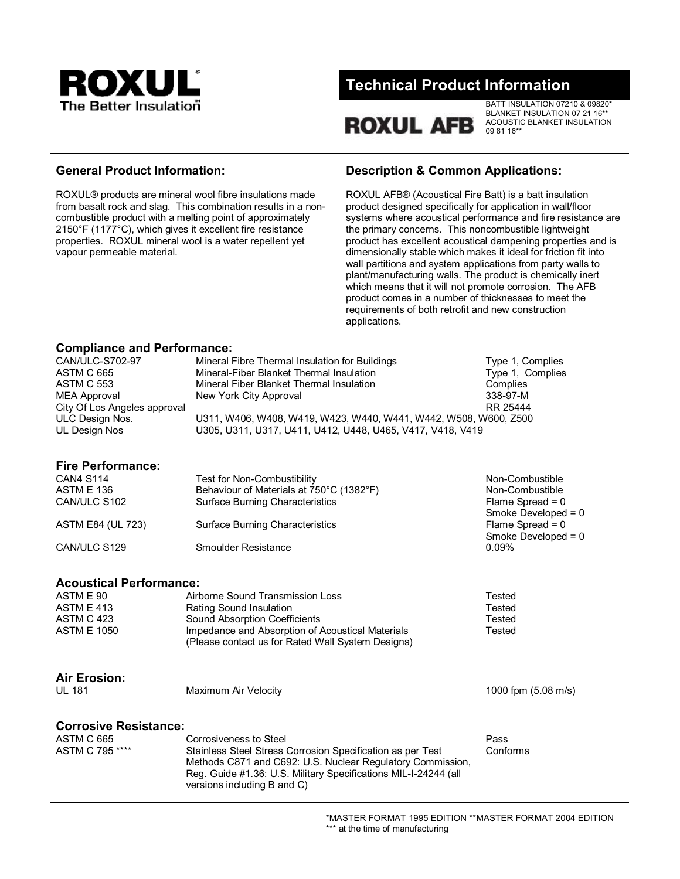

# **Technical Product Information**

**ROXUL AFB** 

BATT INSULATION 07210 & 09820\* BLANKET INSULATION 07 21 16\*\* ACOUSTIC BLANKET INSULATION 09 81 16\*\*

ROXUL® products are mineral wool fibre insulations made from basalt rock and slag. This combination results in a noncombustible product with a melting point of approximately 2150°F (1177°C), which gives it excellent fire resistance properties. ROXUL mineral wool is a water repellent yet vapour permeable material.

# **General Product Information: Description & Common Applications:**

ROXUL AFB® (Acoustical Fire Batt) is a batt insulation product designed specifically for application in wall/floor systems where acoustical performance and fire resistance are the primary concerns. This noncombustible lightweight product has excellent acoustical dampening properties and is dimensionally stable which makes it ideal for friction fit into wall partitions and system applications from party walls to plant/manufacturing walls. The product is chemically inert which means that it will not promote corrosion. The AFB product comes in a number of thicknesses to meet the requirements of both retrofit and new construction applications.

# **Compliance and Performance:**

| CAN/ULC-S702-97              | Mineral Fibre Thermal Insulation for Buildings                   | Type 1, Complies |
|------------------------------|------------------------------------------------------------------|------------------|
| ASTM C 665                   | Mineral-Fiber Blanket Thermal Insulation                         | Type 1, Complies |
| ASTM C 553                   | Mineral Fiber Blanket Thermal Insulation                         | Complies         |
| <b>MEA Approval</b>          | New York City Approval                                           | 338-97-M         |
| City Of Los Angeles approval |                                                                  | RR 25444         |
| ULC Design Nos.              | U311, W406, W408, W419, W423, W440, W441, W442, W508, W600, Z500 |                  |
| UL Design Nos                | U305, U311, U317, U411, U412, U448, U465, V417, V418, V419       |                  |
| <b>Fire Performance:</b>     |                                                                  |                  |

| <b>CAN4 S114</b>         | Test for Non-Combustibility              | Non-Combustible       |
|--------------------------|------------------------------------------|-----------------------|
| <b>ASTM E 136</b>        | Behaviour of Materials at 750°C (1382°F) | Non-Combustible       |
| CAN/ULC S102             | <b>Surface Burning Characteristics</b>   | Flame Spread = $0$    |
|                          |                                          | Smoke Developed = $0$ |
| <b>ASTM E84 (UL 723)</b> | <b>Surface Burning Characteristics</b>   | Flame Spread = $0$    |
|                          |                                          | Smoke Developed = $0$ |
| CAN/ULC S129             | Smoulder Resistance                      | $0.09\%$              |
|                          |                                          |                       |

### **Acoustical Performance:**

| ASTM E 90   | Airborne Sound Transmission Loss                                                                      | Tested |
|-------------|-------------------------------------------------------------------------------------------------------|--------|
| ASTM E 413  | Rating Sound Insulation                                                                               | Tested |
| ASTM C 423  | Sound Absorption Coefficients                                                                         | Tested |
| ASTM E 1050 | Impedance and Absorption of Acoustical Materials<br>(Please contact us for Rated Wall System Designs) | Tested |

# **Air Erosion:**

UL 181 Maximum Air Velocity 1000 fpm (5.08 m/s)

# **Corrosive Resistance:**

| ASTM C 665      | Corrosiveness to Steel                                          | Pass     |
|-----------------|-----------------------------------------------------------------|----------|
| ASTM C 795 **** | Stainless Steel Stress Corrosion Specification as per Test      | Conforms |
|                 | Methods C871 and C692: U.S. Nuclear Regulatory Commission,      |          |
|                 | Reg. Guide #1.36: U.S. Military Specifications MIL-I-24244 (all |          |
|                 | versions including B and C)                                     |          |